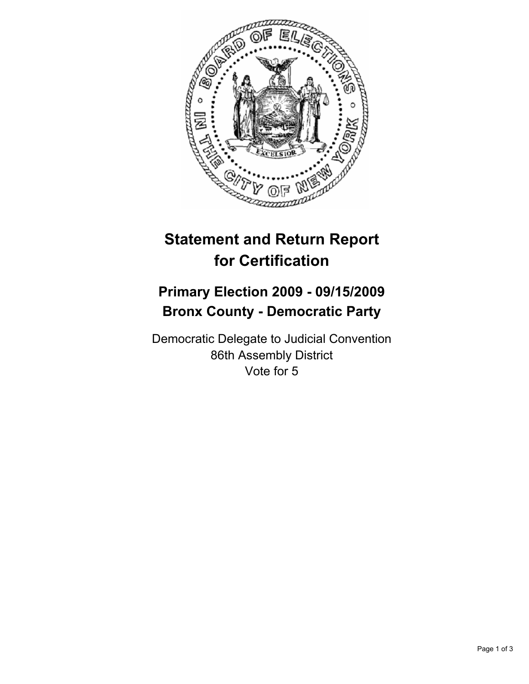

## **Statement and Return Report for Certification**

## **Primary Election 2009 - 09/15/2009 Bronx County - Democratic Party**

Democratic Delegate to Judicial Convention 86th Assembly District Vote for 5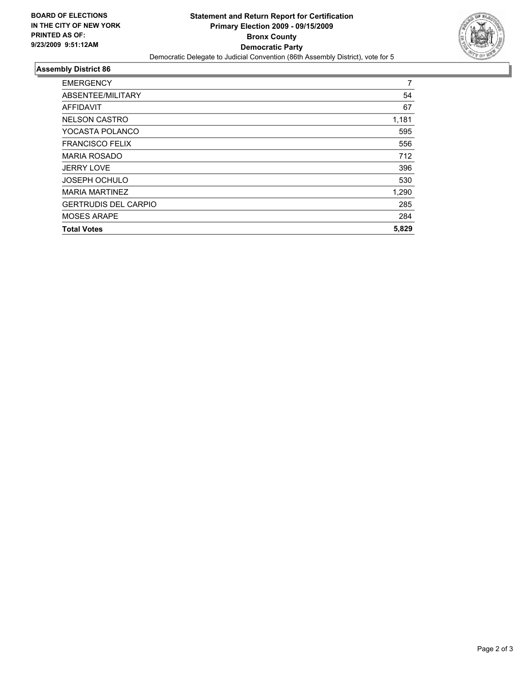

## **Assembly District 86**

| <b>EMERGENCY</b>            | 7     |
|-----------------------------|-------|
| ABSENTEE/MILITARY           | 54    |
| AFFIDAVIT                   | 67    |
| <b>NELSON CASTRO</b>        | 1,181 |
| YOCASTA POLANCO             | 595   |
| <b>FRANCISCO FELIX</b>      | 556   |
| <b>MARIA ROSADO</b>         | 712   |
| <b>JERRY LOVE</b>           | 396   |
| <b>JOSEPH OCHULO</b>        | 530   |
| <b>MARIA MARTINEZ</b>       | 1,290 |
| <b>GERTRUDIS DEL CARPIO</b> | 285   |
| <b>MOSES ARAPE</b>          | 284   |
| <b>Total Votes</b>          | 5,829 |